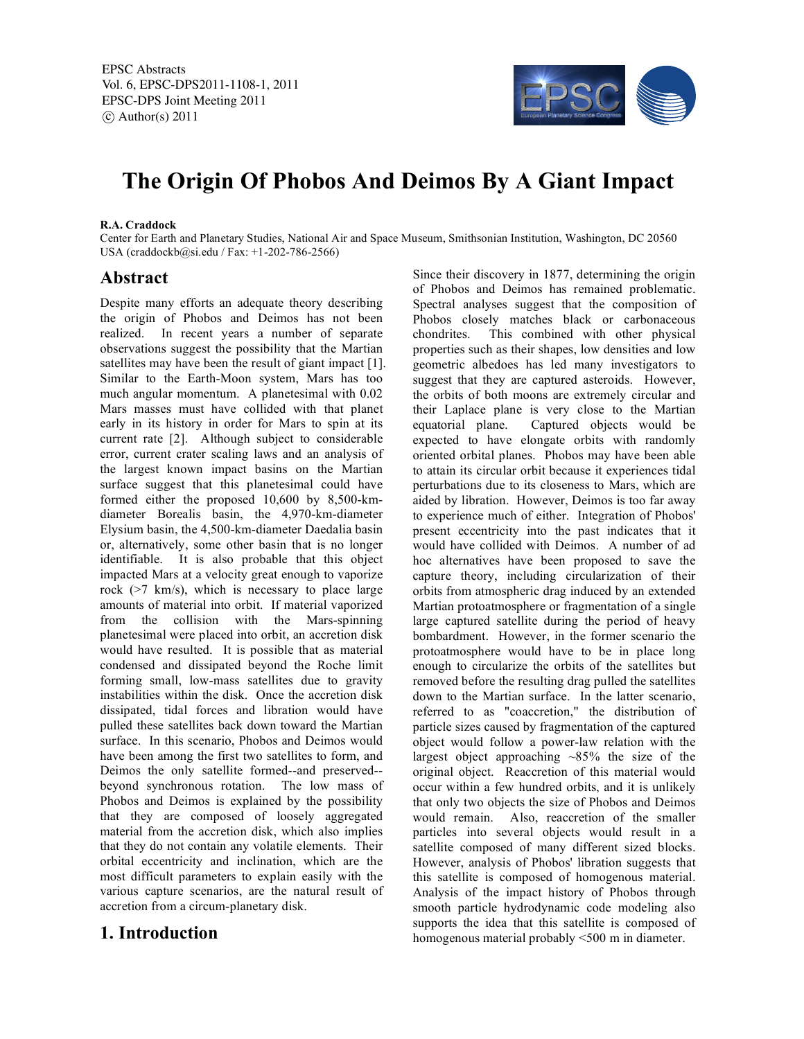EPSC Abstracts Vol. 6, EPSC-DPS2011-1108-1, 2011 EPSC-DPS Joint Meeting 2011  $\circ$  Author(s) 2011



# **The Origin Of Phobos And Deimos By A Giant Impact**

#### **R.A. Craddock**

Center for Earth and Planetary Studies, National Air and Space Museum, Smithsonian Institution, Washington, DC 20560 USA (craddockb@si.edu / Fax: +1-202-786-2566)

### **Abstract**

Despite many efforts an adequate theory describing the origin of Phobos and Deimos has not been realized. In recent years a number of separate observations suggest the possibility that the Martian satellites may have been the result of giant impact [1]. Similar to the Earth-Moon system, Mars has too much angular momentum. A planetesimal with 0.02 Mars masses must have collided with that planet early in its history in order for Mars to spin at its current rate [2]. Although subject to considerable error, current crater scaling laws and an analysis of the largest known impact basins on the Martian surface suggest that this planetesimal could have formed either the proposed 10,600 by 8,500-kmdiameter Borealis basin, the 4,970-km-diameter Elysium basin, the 4,500-km-diameter Daedalia basin or, alternatively, some other basin that is no longer identifiable. It is also probable that this object impacted Mars at a velocity great enough to vaporize rock (>7 km/s), which is necessary to place large amounts of material into orbit. If material vaporized from the collision with the Mars-spinning planetesimal were placed into orbit, an accretion disk would have resulted. It is possible that as material condensed and dissipated beyond the Roche limit forming small, low-mass satellites due to gravity instabilities within the disk. Once the accretion disk dissipated, tidal forces and libration would have pulled these satellites back down toward the Martian surface. In this scenario, Phobos and Deimos would have been among the first two satellites to form, and Deimos the only satellite formed--and preserved- beyond synchronous rotation. The low mass of Phobos and Deimos is explained by the possibility that they are composed of loosely aggregated material from the accretion disk, which also implies that they do not contain any volatile elements. Their orbital eccentricity and inclination, which are the most difficult parameters to explain easily with the various capture scenarios, are the natural result of accretion from a circum-planetary disk.

# **1. Introduction**

Since their discovery in 1877, determining the origin of Phobos and Deimos has remained problematic. Spectral analyses suggest that the composition of Phobos closely matches black or carbonaceous chondrites. This combined with other physical properties such as their shapes, low densities and low geometric albedoes has led many investigators to suggest that they are captured asteroids. However, the orbits of both moons are extremely circular and their Laplace plane is very close to the Martian equatorial plane. Captured objects would be expected to have elongate orbits with randomly oriented orbital planes. Phobos may have been able to attain its circular orbit because it experiences tidal perturbations due to its closeness to Mars, which are aided by libration. However, Deimos is too far away to experience much of either. Integration of Phobos' present eccentricity into the past indicates that it would have collided with Deimos. A number of ad hoc alternatives have been proposed to save the capture theory, including circularization of their orbits from atmospheric drag induced by an extended Martian protoatmosphere or fragmentation of a single large captured satellite during the period of heavy bombardment. However, in the former scenario the protoatmosphere would have to be in place long enough to circularize the orbits of the satellites but removed before the resulting drag pulled the satellites down to the Martian surface. In the latter scenario, referred to as "coaccretion," the distribution of particle sizes caused by fragmentation of the captured object would follow a power-law relation with the largest object approaching ~85% the size of the original object. Reaccretion of this material would occur within a few hundred orbits, and it is unlikely that only two objects the size of Phobos and Deimos would remain. Also, reaccretion of the smaller particles into several objects would result in a satellite composed of many different sized blocks. However, analysis of Phobos' libration suggests that this satellite is composed of homogenous material. Analysis of the impact history of Phobos through smooth particle hydrodynamic code modeling also supports the idea that this satellite is composed of homogenous material probably <500 m in diameter.